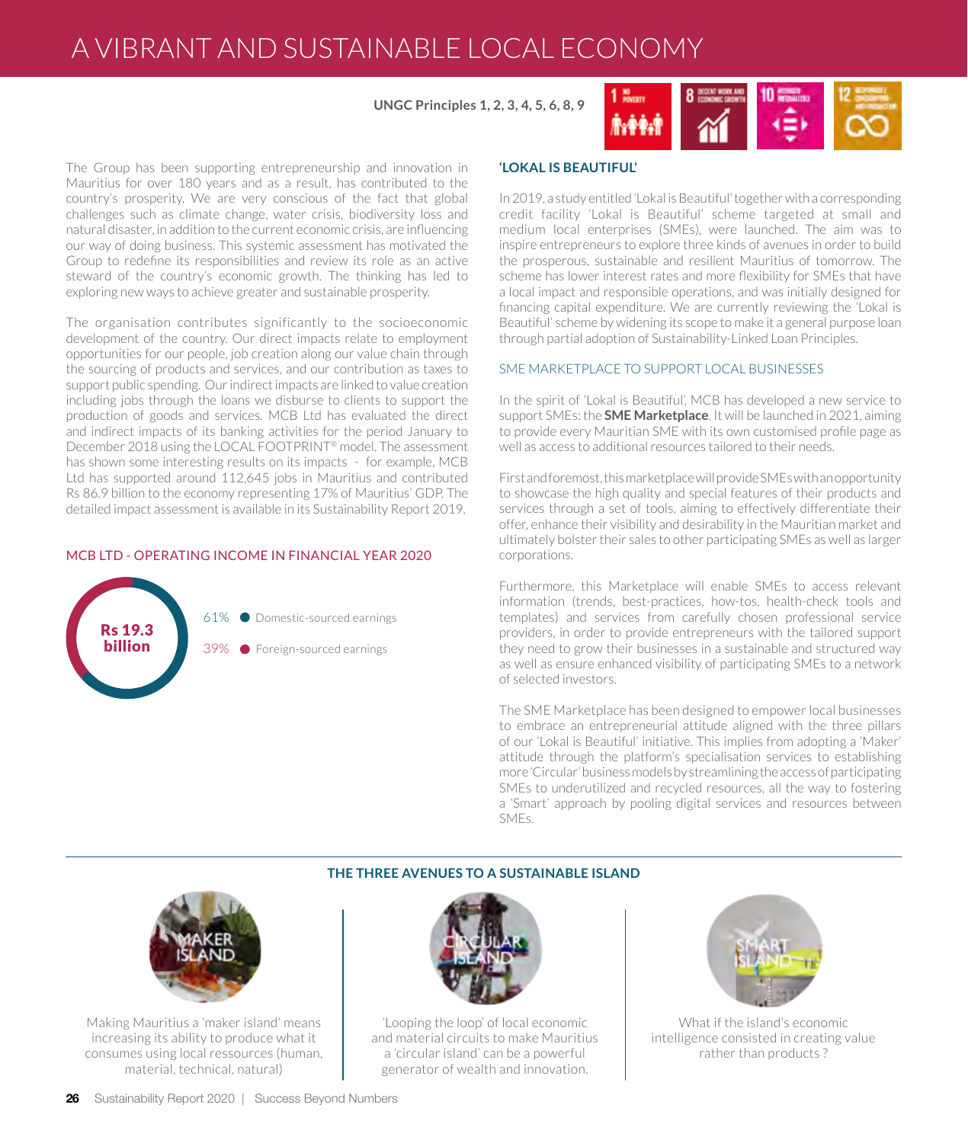# A VIBRANT AND SUSTAINABLE LOCAL ECONOMY

## **UNGC Principles 1, 2, 3, 4, 5, 6, 8, 9**



The Group has been supporting entrepreneurship and innovation in Mauritius for over 180 years and as a result, has contributed to the country's prosperity. We are very conscious of the fact that global challenges such as climate change, water crisis, biodiversity loss and natural disaster, in addition to the current economic crisis, are influencing our way of doing business. This systemic assessment has motivated the Group to redefine its responsibilities and review its role as an active steward of the country's economic growth. The thinking has led to exploring new ways to achieve greater and sustainable prosperity.

The organisation contributes significantly to the socioeconomic development of the country. Our direct impacts relate to employment opportunities for our people, job creation along our value chain through the sourcing of products and services, and our contribution as taxes to support public spending. Our indirect impacts are linked to value creation including jobs through the loans we disburse to clients to support the production of goods and services. MCB Ltd has evaluated the direct and indirect impacts of its banking activities for the period January to December 2018 using the LOCAL FOOTPRINT® model. The assessment has shown some interesting results on its impacts - for example, MCB Ltd has supported around 112,645 jobs in Mauritius and contributed Rs 86.9 billion to the economy representing 17% of Mauritius' GDP. The detailed impact assessment is available in its Sustainability Report 2019.

### MCB LTD - OPERATING INCOME IN FINANCIAL YEAR 2020



## **'LOKAL IS BEAUTIFUL'**

In 2019, a study entitled 'Lokal is Beautiful' together with a corresponding credit facility 'Lokal is Beautiful' scheme targeted at small and medium local enterprises (SMEs), were launched. The aim was to inspire entrepreneurs to explore three kinds of avenues in order to build the prosperous, sustainable and resilient Mauritius of tomorrow. The scheme has lower interest rates and more flexibility for SMEs that have a local impact and responsible operations, and was initially designed for financing capital expenditure. We are currently reviewing the 'Lokal is Beautiful' scheme by widening its scope to make it a general purpose loan through partial adoption of Sustainability-Linked Loan Principles.

### SME MARKETPLACE TO SUPPORT LOCAL BUSINESSES

In the spirit of 'Lokal is Beautiful', MCB has developed a new service to support SMEs: the **SME Marketplace**. It will be launched in 2021, aiming to provide every Mauritian SME with its own customised profile page as well as access to additional resources tailored to their needs.

First and foremost, this marketplace will provide SMEs with an opportunity to showcase the high quality and special features of their products and services through a set of tools, aiming to effectively differentiate their offer, enhance their visibility and desirability in the Mauritian market and ultimately bolster their sales to other participating SMEs as well as larger corporations.

Furthermore, this Marketplace will enable SMEs to access relevant information (trends, best-practices, how-tos, health-check tools and templates) and services from carefully chosen professional service providers, in order to provide entrepreneurs with the tailored support they need to grow their businesses in a sustainable and structured way as well as ensure enhanced visibility of participating SMEs to a network of selected investors.

The SME Marketplace has been designed to empower local businesses to embrace an entrepreneurial attitude aligned with the three pillars of our 'Lokal is Beautiful' initiative. This implies from adopting a 'Maker' attitude through the platform's specialisation services to establishing more 'Circular' business models by streamlining the access of participating SMEs to underutilized and recycled resources, all the way to fostering a 'Smart' approach by pooling digital services and resources between SMEs.

## **THE THREE AVENUES TO A SUSTAINABLE ISLAND**



Making Mauritius a 'maker island' means increasing its ability to produce what it consumes using local ressources (human, material, technical, natural)



'Looping the loop' of local economic and material circuits to make Mauritius a 'circular island' can be a powerful generator of wealth and innovation.



What if the island's economic intelligence consisted in creating value rather than products ?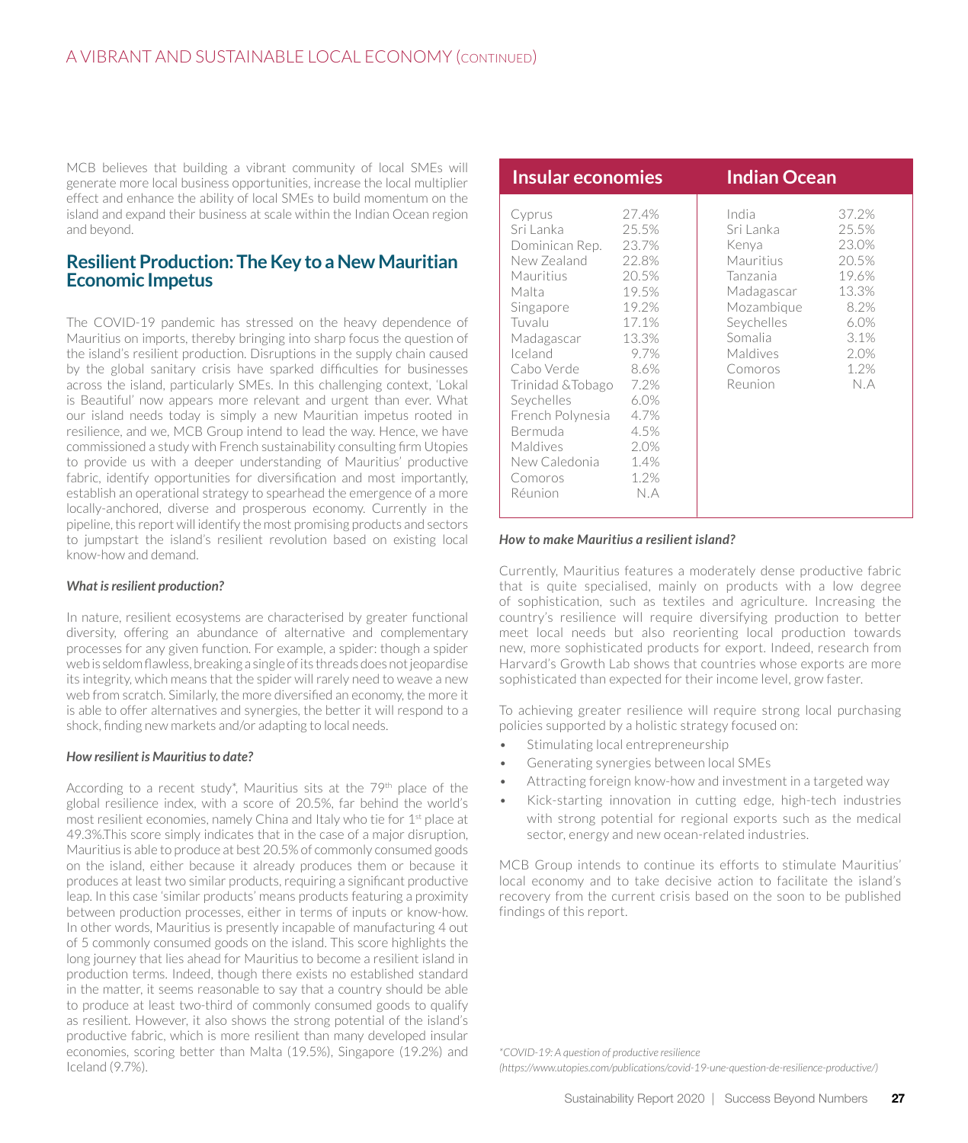MCB believes that building a vibrant community of local SMEs will generate more local business opportunities, increase the local multiplier effect and enhance the ability of local SMEs to build momentum on the island and expand their business at scale within the Indian Ocean region and beyond.

# **Resilient Production: The Key to a New Mauritian Economic Impetus**

The COVID-19 pandemic has stressed on the heavy dependence of Mauritius on imports, thereby bringing into sharp focus the question of the island's resilient production. Disruptions in the supply chain caused by the global sanitary crisis have sparked difficulties for businesses across the island, particularly SMEs. In this challenging context, 'Lokal is Beautiful' now appears more relevant and urgent than ever. What our island needs today is simply a new Mauritian impetus rooted in resilience, and we, MCB Group intend to lead the way. Hence, we have commissioned a study with French sustainability consulting firm Utopies to provide us with a deeper understanding of Mauritius' productive fabric, identify opportunities for diversification and most importantly, establish an operational strategy to spearhead the emergence of a more locally-anchored, diverse and prosperous economy. Currently in the pipeline, this report will identify the most promising products and sectors to jumpstart the island's resilient revolution based on existing local know-how and demand.

## *What is resilient production?*

In nature, resilient ecosystems are characterised by greater functional diversity, offering an abundance of alternative and complementary processes for any given function. For example, a spider: though a spider web is seldom flawless, breaking a single of its threads does not jeopardise its integrity, which means that the spider will rarely need to weave a new web from scratch. Similarly, the more diversified an economy, the more it is able to offer alternatives and synergies, the better it will respond to a shock, finding new markets and/or adapting to local needs.

## *How resilient is Mauritius to date?*

According to a recent study<sup>\*</sup>, Mauritius sits at the 79<sup>th</sup> place of the global resilience index, with a score of 20.5%, far behind the world's most resilient economies, namely China and Italy who tie for 1<sup>st</sup> place at 49.3%.This score simply indicates that in the case of a major disruption, Mauritius is able to produce at best 20.5% of commonly consumed goods on the island, either because it already produces them or because it produces at least two similar products, requiring a significant productive leap. In this case 'similar products' means products featuring a proximity between production processes, either in terms of inputs or know-how. In other words, Mauritius is presently incapable of manufacturing 4 out of 5 commonly consumed goods on the island. This score highlights the long journey that lies ahead for Mauritius to become a resilient island in production terms. Indeed, though there exists no established standard in the matter, it seems reasonable to say that a country should be able to produce at least two-third of commonly consumed goods to qualify as resilient. However, it also shows the strong potential of the island's productive fabric, which is more resilient than many developed insular economies, scoring better than Malta (19.5%), Singapore (19.2%) and Iceland (9.7%).

| Insular economies                                                                                                                                                                                                                                                    |                                                                                                                                                                | <b>Indian Ocean</b> |                                                                                                                                             |                                                                                                   |
|----------------------------------------------------------------------------------------------------------------------------------------------------------------------------------------------------------------------------------------------------------------------|----------------------------------------------------------------------------------------------------------------------------------------------------------------|---------------------|---------------------------------------------------------------------------------------------------------------------------------------------|---------------------------------------------------------------------------------------------------|
| Cyprus<br>Sri Lanka<br>Dominican Rep.<br>New Zealand<br>Mauritius<br>Malta<br>Singapore<br>Tuvalu<br>Madagascar<br>Iceland<br>Cabo Verde<br>Trinidad & Tobago<br>Seychelles<br>French Polynesia<br>Bermuda<br><b>Maldives</b><br>New Caledonia<br>Comoros<br>Réunion | 27.4%<br>25.5%<br>23.7%<br>22.8%<br>20.5%<br>19.5%<br>19.2%<br>17.1%<br>13.3%<br>9.7%<br>8.6%<br>- 7.2%<br>6.0%<br>4.7%<br>4.5%<br>2.0%<br>1.4%<br>1.2%<br>N.A |                     | India<br>Sri Lanka<br>Kenya<br>Mauritius<br>Tanzania<br>Madagascar<br>Mozambique<br>Seychelles<br>Somalia<br>Maldives<br>Comoros<br>Reunion | 37.2%<br>25.5%<br>23.0%<br>20.5%<br>19.6%<br>13.3%<br>8.2%<br>6.0%<br>3.1%<br>2.0%<br>1.2%<br>N.A |

## *How to make Mauritius a resilient island?*

Currently, Mauritius features a moderately dense productive fabric that is quite specialised, mainly on products with a low degree of sophistication, such as textiles and agriculture. Increasing the country's resilience will require diversifying production to better meet local needs but also reorienting local production towards new, more sophisticated products for export. Indeed, research from Harvard's Growth Lab shows that countries whose exports are more sophisticated than expected for their income level, grow faster.

To achieving greater resilience will require strong local purchasing policies supported by a holistic strategy focused on:

- Stimulating local entrepreneurship
- Generating synergies between local SMEs
- Attracting foreign know-how and investment in a targeted way
- Kick-starting innovation in cutting edge, high-tech industries with strong potential for regional exports such as the medical sector, energy and new ocean-related industries.

MCB Group intends to continue its efforts to stimulate Mauritius' local economy and to take decisive action to facilitate the island's recovery from the current crisis based on the soon to be published findings of this report.

*\*COVID-19: A question of productive resilience* 

*(https://www.utopies.com/publications/covid-19-une-question-de-resilience-productive/)*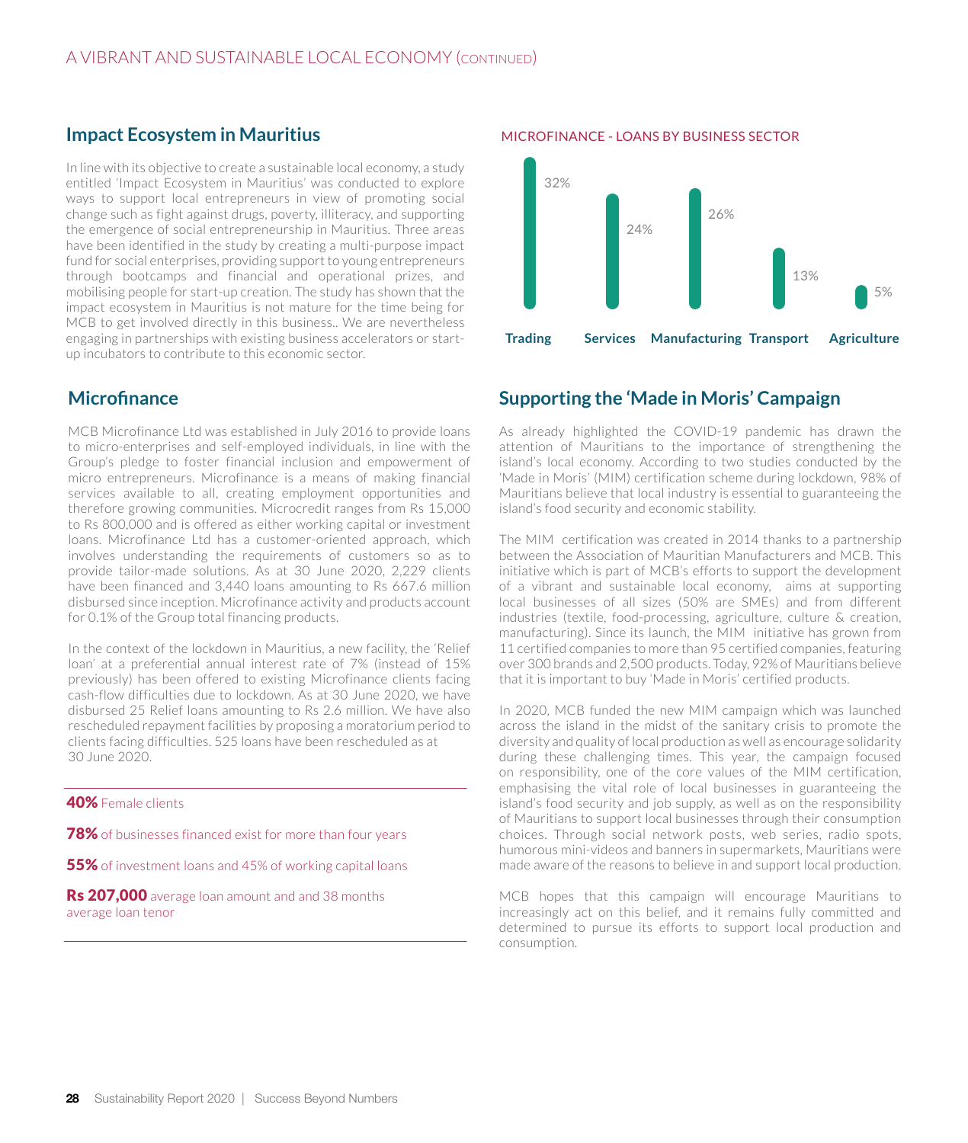# **Impact Ecosystem in Mauritius**

In line with its objective to create a sustainable local economy, a study entitled 'Impact Ecosystem in Mauritius' was conducted to explore ways to support local entrepreneurs in view of promoting social change such as fight against drugs, poverty, illiteracy, and supporting the emergence of social entrepreneurship in Mauritius. Three areas have been identified in the study by creating a multi-purpose impact fund for social enterprises, providing support to young entrepreneurs through bootcamps and financial and operational prizes, and mobilising people for start-up creation. The study has shown that the impact ecosystem in Mauritius is not mature for the time being for MCB to get involved directly in this business.. We are nevertheless engaging in partnerships with existing business accelerators or startup incubators to contribute to this economic sector.

# **Microfinance**

MCB Microfinance Ltd was established in July 2016 to provide loans to micro-enterprises and self-employed individuals, in line with the Group's pledge to foster financial inclusion and empowerment of micro entrepreneurs. Microfinance is a means of making financial services available to all, creating employment opportunities and therefore growing communities. Microcredit ranges from Rs 15,000 to Rs 800,000 and is offered as either working capital or investment loans. Microfinance Ltd has a customer-oriented approach, which involves understanding the requirements of customers so as to provide tailor-made solutions. As at 30 June 2020, 2,229 clients have been financed and 3,440 loans amounting to Rs 667.6 million disbursed since inception. Microfinance activity and products account for 0.1% of the Group total financing products.

In the context of the lockdown in Mauritius, a new facility, the 'Relief loan' at a preferential annual interest rate of 7% (instead of 15% previously) has been offered to existing Microfinance clients facing cash-flow difficulties due to lockdown. As at 30 June 2020, we have disbursed 25 Relief loans amounting to Rs 2.6 million. We have also rescheduled repayment facilities by proposing a moratorium period to clients facing difficulties. 525 loans have been rescheduled as at 30 June 2020.

## 40% Female clients

78% of businesses financed exist for more than four years

55% of investment loans and 45% of working capital loans

Rs 207,000 average loan amount and and 38 months average loan tenor

#### MICROFINANCE - LOANS BY BUSINESS SECTOR



# **Supporting the 'Made in Moris' Campaign**

As already highlighted the COVID-19 pandemic has drawn the attention of Mauritians to the importance of strengthening the island's local economy. According to two studies conducted by the 'Made in Moris' (MIM) certification scheme during lockdown, 98% of Mauritians believe that local industry is essential to guaranteeing the island's food security and economic stability.

The MIM certification was created in 2014 thanks to a partnership between the Association of Mauritian Manufacturers and MCB. This initiative which is part of MCB's efforts to support the development of a vibrant and sustainable local economy, aims at supporting local businesses of all sizes (50% are SMEs) and from different industries (textile, food-processing, agriculture, culture & creation, manufacturing). Since its launch, the MIM initiative has grown from 11 certified companies to more than 95 certified companies, featuring over 300 brands and 2,500 products. Today, 92% of Mauritians believe that it is important to buy 'Made in Moris' certified products.

In 2020, MCB funded the new MIM campaign which was launched across the island in the midst of the sanitary crisis to promote the diversity and quality of local production as well as encourage solidarity during these challenging times. This year, the campaign focused on responsibility, one of the core values of the MIM certification, emphasising the vital role of local businesses in guaranteeing the island's food security and job supply, as well as on the responsibility of Mauritians to support local businesses through their consumption choices. Through social network posts, web series, radio spots, humorous mini-videos and banners in supermarkets, Mauritians were made aware of the reasons to believe in and support local production.

MCB hopes that this campaign will encourage Mauritians to increasingly act on this belief, and it remains fully committed and determined to pursue its efforts to support local production and consumption.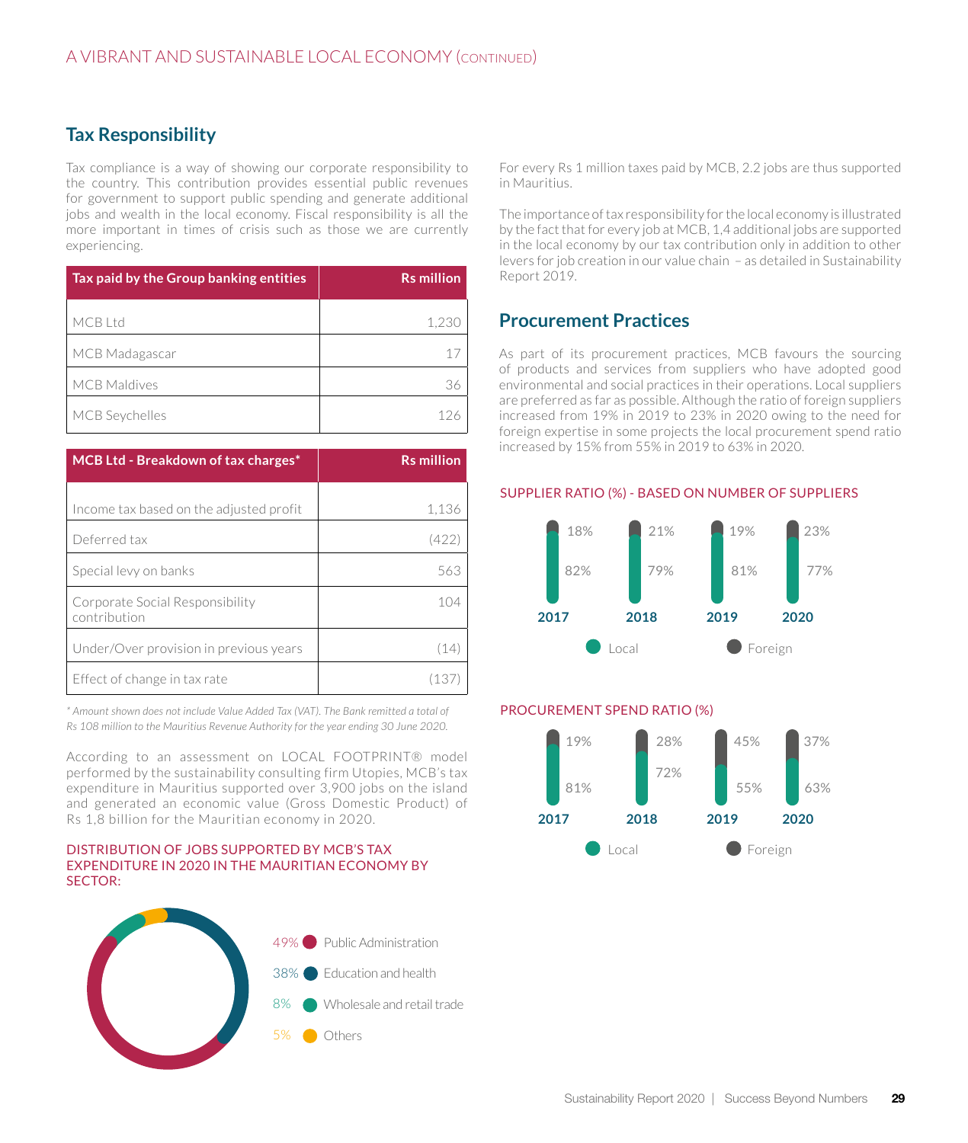# **Tax Responsibility**

Tax compliance is a way of showing our corporate responsibility to the country. This contribution provides essential public revenues for government to support public spending and generate additional jobs and wealth in the local economy. Fiscal responsibility is all the more important in times of crisis such as those we are currently experiencing.

| Tax paid by the Group banking entities | <b>Rs</b> million |
|----------------------------------------|-------------------|
| MCB Ltd                                | 1,230             |
| MCB Madagascar                         | 17                |
| <b>MCB Maldives</b>                    | 36                |
| MCB Seychelles                         |                   |

| <b>MCB Ltd - Breakdown of tax charges*</b>      | <b>Rs million</b> |
|-------------------------------------------------|-------------------|
|                                                 |                   |
| Income tax based on the adjusted profit         | 1,136             |
| Deferred tax                                    | (422)             |
| Special levy on banks                           | 563               |
| Corporate Social Responsibility<br>contribution | 104               |
| Under/Over provision in previous years          | (14               |
| Effect of change in tax rate                    | 113               |

*\* Amount shown does not include Value Added Tax (VAT). The Bank remitted a total of Rs 108 million to the Mauritius Revenue Authority for the year ending 30 June 2020.* 

According to an assessment on LOCAL FOOTPRINT® model performed by the sustainability consulting firm Utopies, MCB's tax expenditure in Mauritius supported over 3,900 jobs on the island and generated an economic value (Gross Domestic Product) of Rs 1,8 billion for the Mauritian economy in 2020.

#### DISTRIBUTION OF JOBS SUPPORTED BY MCB'S TAX EXPENDITURE IN 2020 IN THE MAURITIAN ECONOMY BY SECTOR:



For every Rs 1 million taxes paid by MCB, 2.2 jobs are thus supported in Mauritius.

The importance of tax responsibility for the local economy is illustrated by the fact that for every job at MCB, 1,4 additional jobs are supported in the local economy by our tax contribution only in addition to other levers for job creation in our value chain – as detailed in Sustainability Report 2019.

# **Procurement Practices**

As part of its procurement practices, MCB favours the sourcing of products and services from suppliers who have adopted good environmental and social practices in their operations. Local suppliers are preferred as far as possible. Although the ratio of foreign suppliers increased from 19% in 2019 to 23% in 2020 owing to the need for foreign expertise in some projects the local procurement spend ratio increased by 15% from 55% in 2019 to 63% in 2020.

## SUPPLIER RATIO (%) - BASED ON NUMBER OF SUPPLIERS



## PROCUREMENT SPEND RATIO (%)